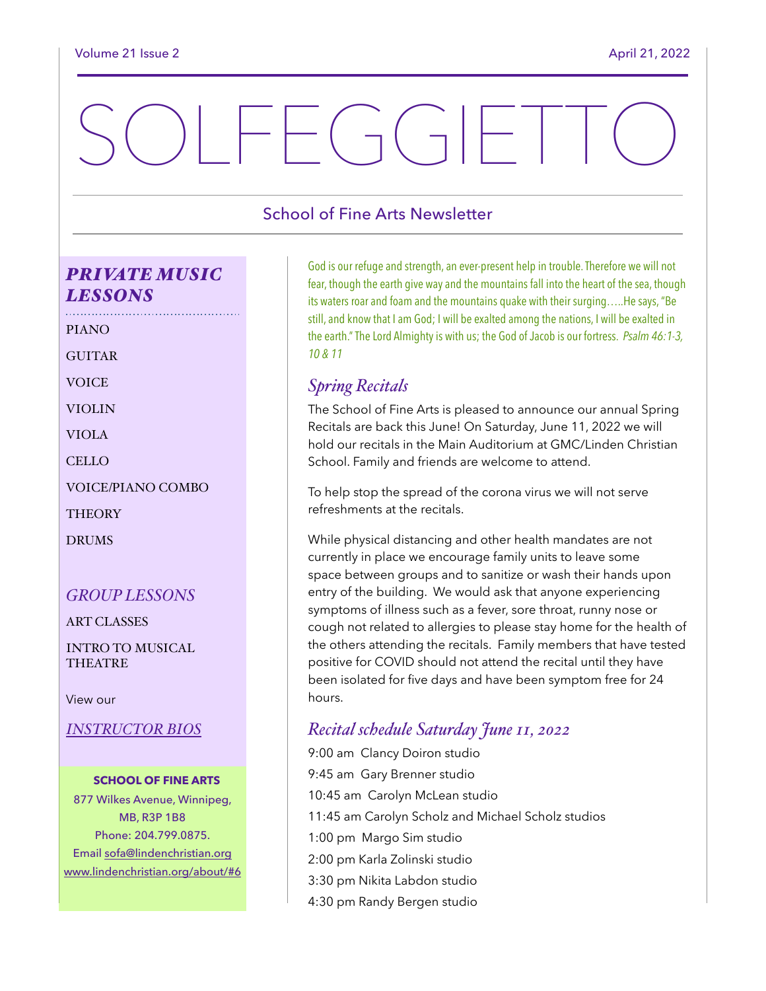# $F = G \cap F$

## School of Fine Arts Newsletter

# *PRIVATE MUSIC LESSONS*

PIANO **GUITAR VOICE** VIOLIN VIOLA CELLO VOICE/PIANO COMBO **THEORY DRUMS** 

### *GROUP LESSONS*

ART CLASSES

INTRO TO MUSICAL **THEATRE** 

View our

*[INSTRUCTOR BIOS](https://lindenchristian.org/wp-content/uploads/2021/05/Instructor-Bios-2021-2022-1.pdf)*

#### **SCHOOL OF FINE ARTS**

877 Wilkes Avenue, Winnipeg, MB, R3P 1B8 Phone: 204.799.0875. Email [sofa@lindenchristian.org](mailto:sofa@lindenchristian.org) [www.lindenchristian.org/about/#6](http://www.lindenchristian.org/about/#6) God is our refuge and strength, an ever-present help in trouble. Therefore we will not fear, though the earth give way and the mountains fall into the heart of the sea, though its waters roar and foam and the mountains quake with their surging…..He says, "Be still, and know that I am God; I will be exalted among the nations, I will be exalted in the earth." The Lord Almighty is with us; the God of Jacob is our fortress. *Psalm 46:1-3, 10 & 11*

# *Spring Recitals*

The School of Fine Arts is pleased to announce our annual Spring Recitals are back this June! On Saturday, June 11, 2022 we will hold our recitals in the Main Auditorium at GMC/Linden Christian School. Family and friends are welcome to attend.

To help stop the spread of the corona virus we will not serve refreshments at the recitals.

While physical distancing and other health mandates are not currently in place we encourage family units to leave some space between groups and to sanitize or wash their hands upon entry of the building. We would ask that anyone experiencing symptoms of illness such as a fever, sore throat, runny nose or cough not related to allergies to please stay home for the health of the others attending the recitals. Family members that have tested positive for COVID should not attend the recital until they have been isolated for five days and have been symptom free for 24 hours.

# *Recital schedule Saturday June 11, 2022*

9:00 am Clancy Doiron studio 9:45 am Gary Brenner studio 10:45 am Carolyn McLean studio 11:45 am Carolyn Scholz and Michael Scholz studios 1:00 pm Margo Sim studio 2:00 pm Karla Zolinski studio 3:30 pm Nikita Labdon studio 4:30 pm Randy Bergen studio